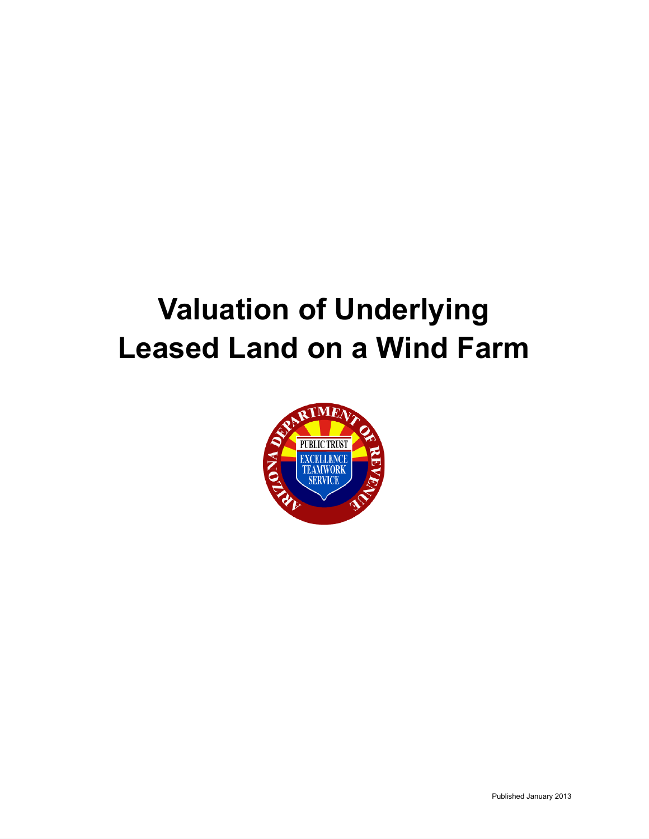# **Valuation of Underlying Leased Land on a Wind Farm**

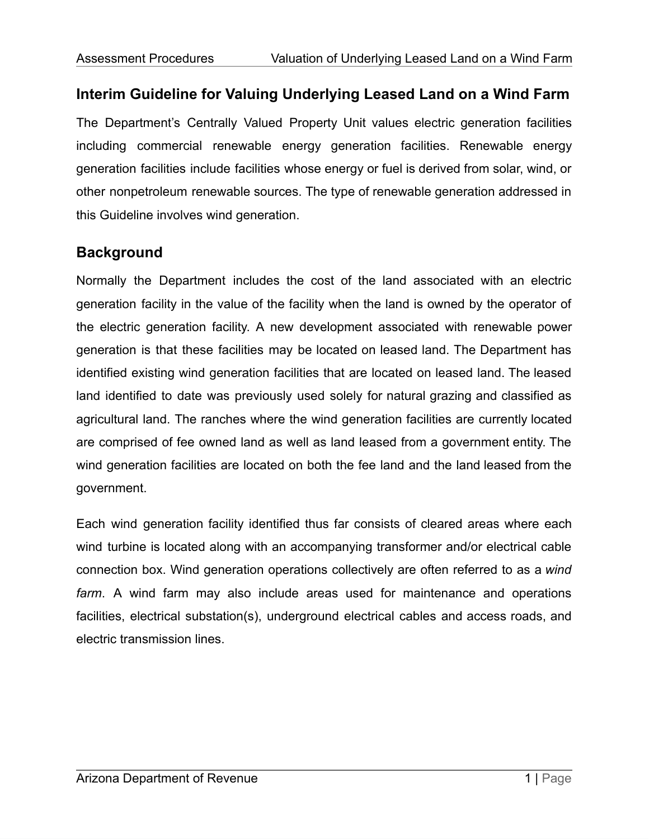## **Interim Guideline for Valuing Underlying Leased Land on a Wind Farm**

The Department's Centrally Valued Property Unit values electric generation facilities including commercial renewable energy generation facilities. Renewable energy generation facilities include facilities whose energy or fuel is derived from solar, wind, or other nonpetroleum renewable sources. The type of renewable generation addressed in this Guideline involves wind generation.

### **Background**

Normally the Department includes the cost of the land associated with an electric generation facility in the value of the facility when the land is owned by the operator of the electric generation facility. A new development associated with renewable power generation is that these facilities may be located on leased land. The Department has identified existing wind generation facilities that are located on leased land. The leased land identified to date was previously used solely for natural grazing and classified as agricultural land. The ranches where the wind generation facilities are currently located are comprised of fee owned land as well as land leased from a government entity. The wind generation facilities are located on both the fee land and the land leased from the government.

Each wind generation facility identified thus far consists of cleared areas where each wind turbine is located along with an accompanying transformer and/or electrical cable connection box. Wind generation operations collectively are often referred to as a *wind farm*. A wind farm may also include areas used for maintenance and operations facilities, electrical substation(s), underground electrical cables and access roads, and electric transmission lines.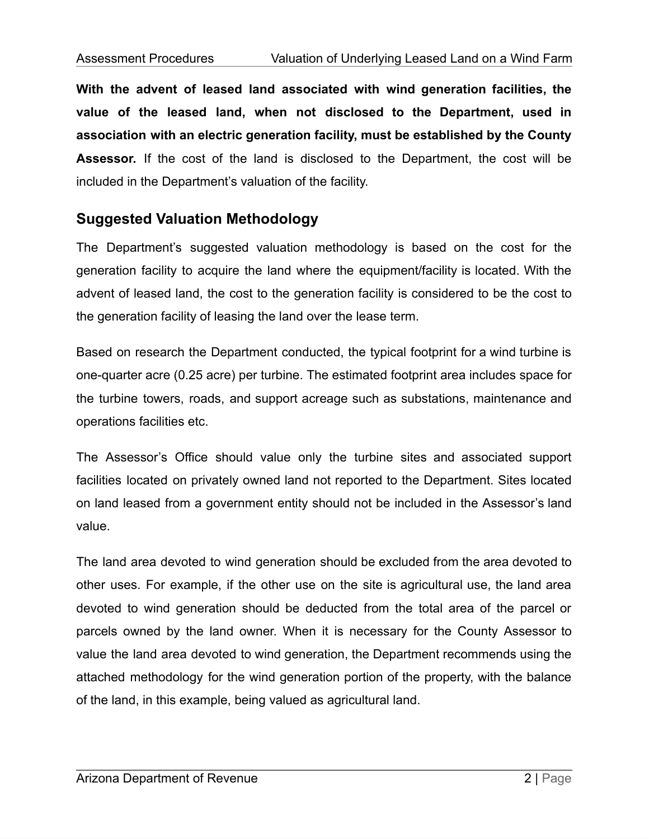**With the advent of leased land associated with wind generation facilities, the value of the leased land, when not disclosed to the Department, used in association with an electric generation facility, must be established by the County Assessor.** If the cost of the land is disclosed to the Department, the cost will be included in the Department's valuation of the facility.

### **Suggested Valuation Methodology**

The Department's suggested valuation methodology is based on the cost for the generation facility to acquire the land where the equipment/facility is located. With the advent of leased land, the cost to the generation facility is considered to be the cost to the generation facility of leasing the land over the lease term.

Based on research the Department conducted, the typical footprint for a wind turbine is one-quarter acre (0.25 acre) per turbine. The estimated footprint area includes space for the turbine towers, roads, and support acreage such as substations, maintenance and operations facilities etc.

The Assessor's Office should value only the turbine sites and associated support facilities located on privately owned land not reported to the Department. Sites located on land leased from a government entity should not be included in the Assessor's land value.

The land area devoted to wind generation should be excluded from the area devoted to other uses. For example, if the other use on the site is agricultural use, the land area devoted to wind generation should be deducted from the total area of the parcel or parcels owned by the land owner. When it is necessary for the County Assessor to value the land area devoted to wind generation, the Department recommends using the attached methodology for the wind generation portion of the property, with the balance of the land, in this example, being valued as agricultural land.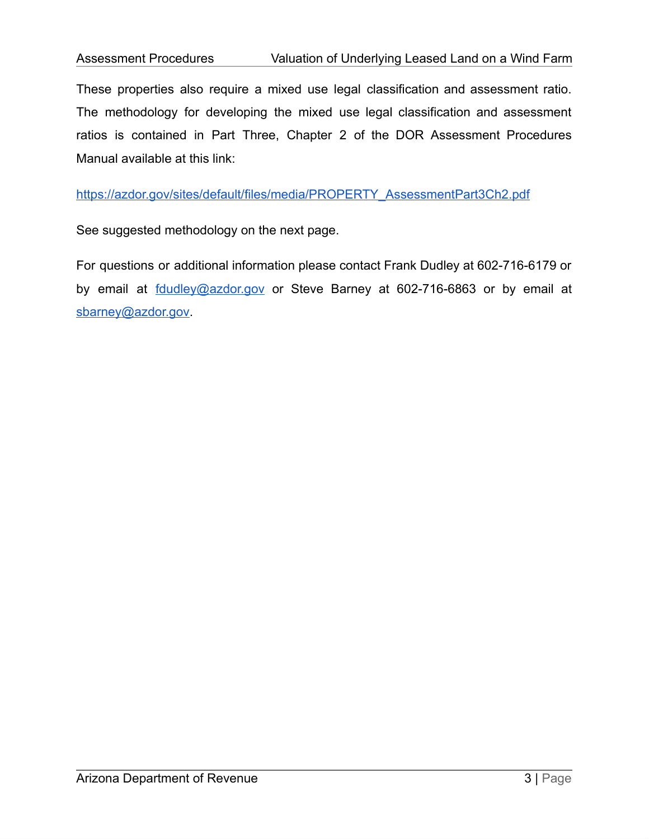These properties also require a mixed use legal classification and assessment ratio. The methodology for developing the mixed use legal classification and assessment ratios is contained in Part Three, Chapter 2 of the DOR Assessment Procedures Manual available at this link:

[https://azdor.gov/sites/default/files/media/PROPERTY\\_AssessmentPart3Ch2.pdf](https://azdor.gov/sites/default/files/media/PROPERTY_AssessmentPart3Ch2.pdf)

See suggested methodology on the next page.

For questions or additional information please contact Frank Dudley at 602-716-6179 or by email at **follardial and a controller** or Steve Barney at 602-716-6863 or by email at [sbarney@azdor.gov.](mailto:sbarney@azdor.gov)